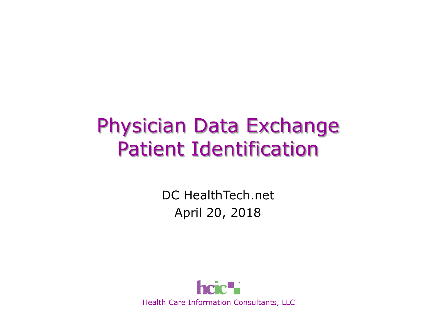### Physician Data Exchange Patient Identification

DC HealthTech.net April 20, 2018

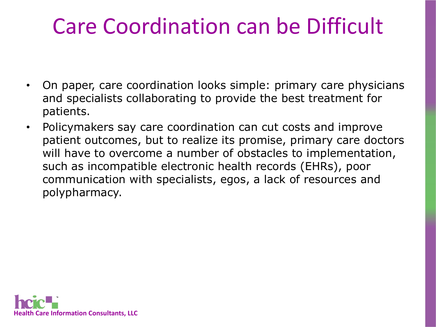### Care Coordination can be Difficult

- On paper, care coordination looks simple: primary care physicians and specialists collaborating to provide the best treatment for patients.
- Policymakers say care coordination can cut costs and improve patient outcomes, but to realize its promise, primary care doctors will have to overcome a number of obstacles to implementation, such as incompatible electronic health records (EHRs), poor communication with specialists, egos, a lack of resources and polypharmacy.

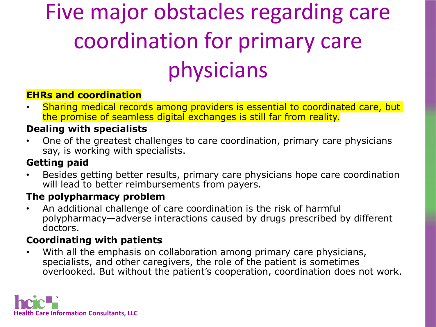# Five major obstacles regarding care coordination for primary care physicians

#### **EHRs and coordination**

• Sharing medical records among providers is essential to coordinated care, but the promise of seamless digital exchanges is still far from reality.

#### **Dealing with specialists**

• One of the greatest challenges to care coordination, primary care physicians say, is working with specialists.

#### **Getting paid**

• Besides getting better results, primary care physicians hope care coordination will lead to better reimbursements from payers.

#### **The polypharmacy problem**

• An additional challenge of care coordination is the risk of harmful polypharmacy—adverse interactions caused by drugs prescribed by different doctors.

#### **Coordinating with patients**

• With all the emphasis on collaboration among primary care physicians, specialists, and other caregivers, the role of the patient is sometimes overlooked. But without the patient's cooperation, coordination does not work.

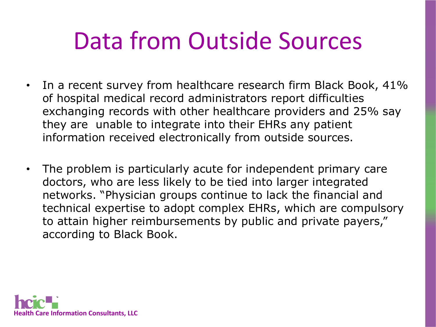## Data from Outside Sources

- In a recent survey from healthcare research firm Black Book, 41% of hospital medical record administrators report difficulties exchanging records with other healthcare providers and 25% say they are unable to integrate into their EHRs any patient information received electronically from outside sources.
- The problem is particularly acute for independent primary care doctors, who are less likely to be tied into larger integrated networks. "Physician groups continue to lack the financial and technical expertise to adopt complex EHRs, which are compulsory to attain higher reimbursements by public and private payers," according to Black Book.

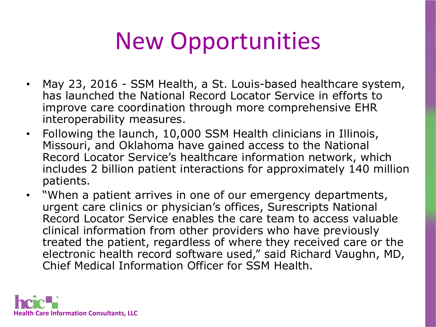# New Opportunities

- May 23, 2016 SSM Health, a St. Louis-based healthcare system, has launched the National Record Locator Service in efforts to improve care coordination through more comprehensive EHR interoperability measures.
- Following the launch, 10,000 SSM Health clinicians in Illinois, Missouri, and Oklahoma have gained access to the National Record Locator Service's healthcare information network, which includes 2 billion patient interactions for approximately 140 million patients.
- "When a patient arrives in one of our emergency departments, urgent care clinics or physician's offices, Surescripts National Record Locator Service enables the care team to access valuable clinical information from other providers who have previously treated the patient, regardless of where they received care or the electronic health record software used," said Richard Vaughn, MD, Chief Medical Information Officer for SSM Health.

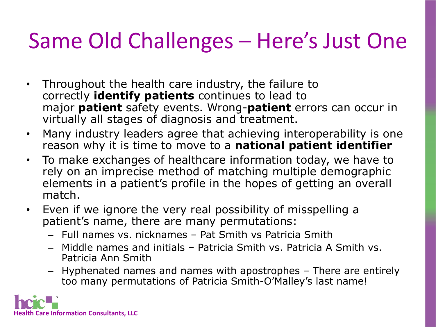### Same Old Challenges – Here's Just One

- Throughout the health care industry, the failure to correctly **identify patients** continues to lead to major **patient** safety events. Wrong-**patient** errors can occur in virtually all stages of diagnosis and treatment.
- Many industry leaders agree that achieving interoperability is one reason why it is time to move to a **national patient identifier**
- To make exchanges of healthcare information today, we have to rely on an imprecise method of matching multiple demographic elements in a patient's profile in the hopes of getting an overall match.
- Even if we ignore the very real possibility of misspelling a patient's name, there are many permutations:
	- Full names vs. nicknames Pat Smith vs Patricia Smith
	- Middle names and initials Patricia Smith vs. Patricia A Smith vs. Patricia Ann Smith
	- Hyphenated names and names with apostrophes There are entirely too many permutations of Patricia Smith-O'Malley's last name!

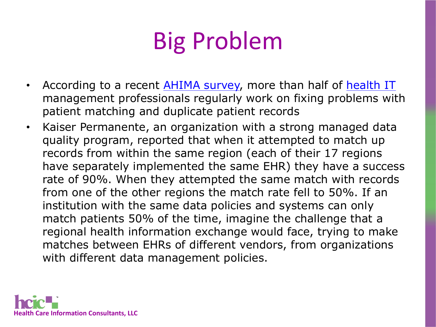# Big Problem

- According to a recent [AHIMA survey,](http://journal.ahima.org/2016/01/06/survey-patient-matching-problems-routine-in-healthcare/) more than half of [health IT](https://hitconsultant.net/category/health-it/) management professionals regularly work on fixing problems with patient matching and duplicate patient records
- Kaiser Permanente, an organization with a strong managed data quality program, reported that when it attempted to match up records from within the same region (each of their 17 regions have separately implemented the same EHR) they have a success rate of 90%. When they attempted the same match with records from one of the other regions the match rate fell to 50%. If an institution with the same data policies and systems can only match patients 50% of the time, imagine the challenge that a regional health information exchange would face, trying to make matches between EHRs of different vendors, from organizations with different data management policies.

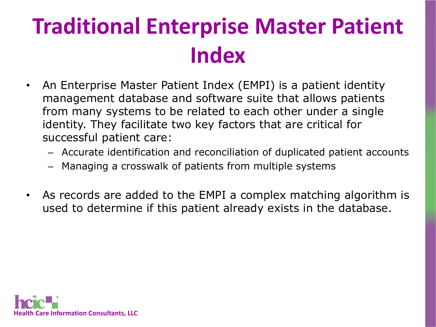### **Traditional Enterprise Master Patient Index**

- An Enterprise Master Patient Index (EMPI) is a patient identity management database and software suite that allows patients from many systems to be related to each other under a single identity. They facilitate two key factors that are critical for successful patient care:
	- Accurate identification and reconciliation of duplicated patient accounts
	- Managing a crosswalk of patients from multiple systems
- As records are added to the EMPI a complex matching algorithm is used to determine if this patient already exists in the database.

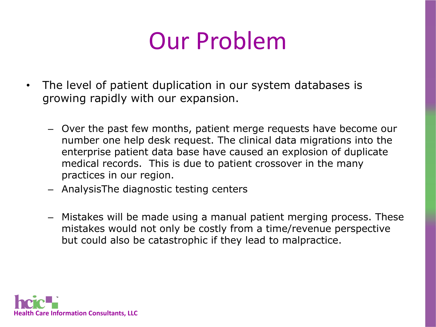## Our Problem

- The level of patient duplication in our system databases is growing rapidly with our expansion.
	- Over the past few months, patient merge requests have become our number one help desk request. The clinical data migrations into the enterprise patient data base have caused an explosion of duplicate medical records. This is due to patient crossover in the many practices in our region.
	- AnalysisThe diagnostic testing centers
	- Mistakes will be made using a manual patient merging process. These mistakes would not only be costly from a time/revenue perspective but could also be catastrophic if they lead to malpractice.

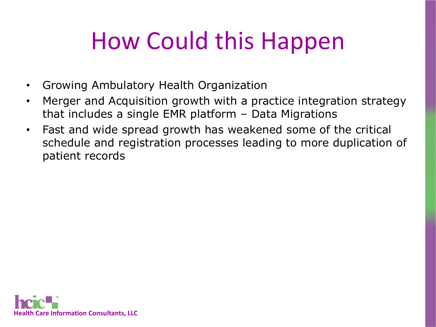# How Could this Happen

- Growing Ambulatory Health Organization
- Merger and Acquisition growth with a practice integration strategy that includes a single EMR platform – Data Migrations
- Fast and wide spread growth has weakened some of the critical schedule and registration processes leading to more duplication of patient records

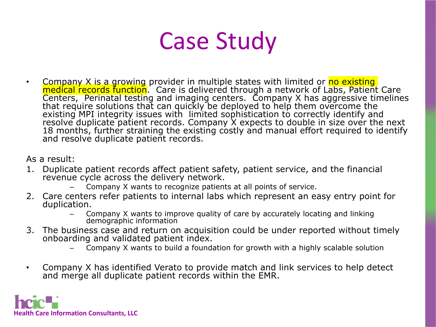## Case Study

• Company X is a growing provider in multiple states with limited or <mark>no existing</mark><br>medical records function</mark>. Care is delivered through a network of Labs, Patient Care<br>Centers, Perinatal testing and imaging centers. Compan that require solutions that can quickly be deployed to help them overcome the existing MPI integrity issues with limited sophistication to correctly identify and resolve duplicate patient records. Company X expects to double in size over the next 18 months, further straining the existing costly and manual effort required to identify and resolve duplicate patient records.

As a result:

- 1. Duplicate patient records affect patient safety, patient service, and the financial revenue cycle across the delivery network.
	- Company X wants to recognize patients at all points of service.
- 2. Care centers refer patients to internal labs which represent an easy entry point for duplication.
	- Company X wants to improve quality of care by accurately locating and linking demographic information
- 3. The business case and return on acquisition could be under reported without timely onboarding and validated patient index.
	- Company X wants to build a foundation for growth with a highly scalable solution
- Company X has identified Verato to provide match and link services to help detect and merge all duplicate patient records within the EMR.

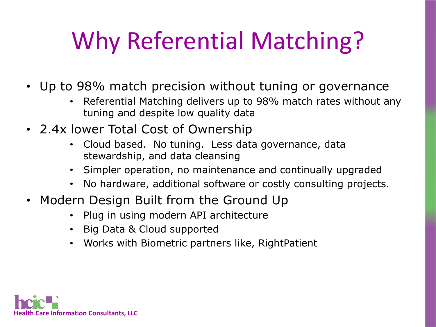# Why Referential Matching?

- Up to 98% match precision without tuning or governance
	- Referential Matching delivers up to 98% match rates without any tuning and despite low quality data
- 2.4x lower Total Cost of Ownership
	- Cloud based. No tuning. Less data governance, data stewardship, and data cleansing
	- Simpler operation, no maintenance and continually upgraded
	- No hardware, additional software or costly consulting projects.
- Modern Design Built from the Ground Up
	- Plug in using modern API architecture
	- Big Data & Cloud supported
	- Works with Biometric partners like, RightPatient

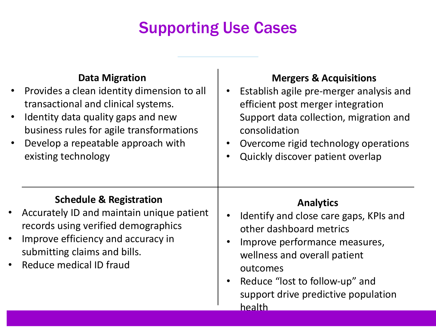#### Supporting Use Cases

|                        | <b>Data Migration</b><br>Provides a clean identity dimension to all<br>transactional and clinical systems.<br>Identity data quality gaps and new<br>business rules for agile transformations<br>Develop a repeatable approach with<br>existing technology | <b>Mergers &amp; Acquisitions</b><br>Establish agile pre-merger analysis and<br>efficient post merger integration<br>Support data collection, migration and<br>consolidation<br>Overcome rigid technology operations<br>Quickly discover patient overlap<br>$\bullet$ |
|------------------------|-----------------------------------------------------------------------------------------------------------------------------------------------------------------------------------------------------------------------------------------------------------|-----------------------------------------------------------------------------------------------------------------------------------------------------------------------------------------------------------------------------------------------------------------------|
| $\bullet$<br>$\bullet$ | <b>Schedule &amp; Registration</b><br>Accurately ID and maintain unique patient<br>records using verified demographics<br>Improve efficiency and accuracy in<br>submitting claims and bills.<br>Reduce medical ID fraud                                   | <b>Analytics</b><br>Identify and close care gaps, KPIs and<br>other dashboard metrics<br>Improve performance measures,<br>wellness and overall patient<br>outcomes<br>Reduce "lost to follow-up" and<br>$\bullet$<br>support drive predictive population<br>health    |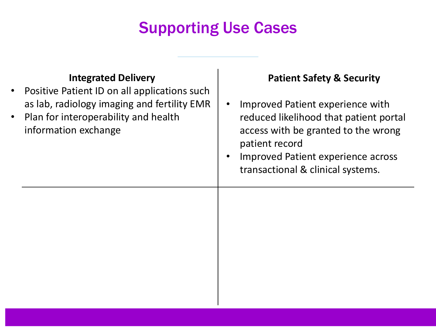#### Supporting Use Cases

| $\bullet$<br>$\bullet$ | <b>Integrated Delivery</b><br>Positive Patient ID on all applications such<br>as lab, radiology imaging and fertility EMR<br>Plan for interoperability and health<br>information exchange | <b>Patient Safety &amp; Security</b><br>Improved Patient experience with<br>reduced likelihood that patient portal<br>access with be granted to the wrong<br>patient record<br>Improved Patient experience across<br>transactional & clinical systems. |
|------------------------|-------------------------------------------------------------------------------------------------------------------------------------------------------------------------------------------|--------------------------------------------------------------------------------------------------------------------------------------------------------------------------------------------------------------------------------------------------------|
|                        |                                                                                                                                                                                           |                                                                                                                                                                                                                                                        |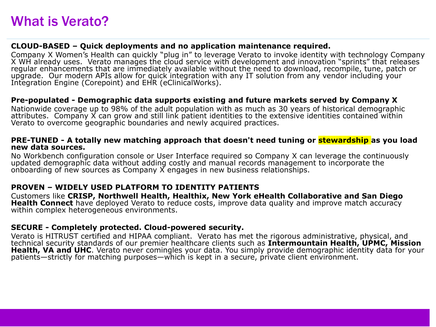#### **CLOUD-BASED – Quick deployments and no application maintenance required.**

Company X Women's Health can quickly "plug in" to leverage Verato to invoke identity with technology Company X WH already uses. Verato manages the cloud service with development and innovation "sprints" that releases regul upgrade. Our modern APIs allow for quick integration with any IT solution from any vendor including your<br>Integration Engine (Corepoint) and EHR (eClinicalWorks).

#### **Pre-populated - Demographic data supports existing and future markets served by Company X**

Nationwide coverage up to 98% of the adult population with as much as 30 years of historical demographic attributes. Company X can grow and still link patient identities to the extensive identities contained within Verato to overcome geographic boundaries and newly acquired practices.

#### **PRE-TUNED - A totally new matching approach that doesn't need tuning or stewardship as you load new data sources.**

No Workbench configuration console or User Interface required so Company X can leverage the continuously updated demographic data without adding costly and manual records management to incorporate the onboarding of new sources as Company X engages in new business relationships.

#### **PROVEN – WIDELY USED PLATFORM TO IDENTITY PATIENTS**

Customers like **CRISP, Northwell Health, Healthix, New York eHealth Collaborative and San Diego Health Connect** have deployed Verato to reduce costs, improve data quality and improve match accuracy within complex heterogeneous environments.

#### **SECURE - Completely protected. Cloud-powered security.**

Verato is HITRUST certified and HIPAA compliant. Verato has met the rigorous administrative, physical, and technical security standards of our premier healthcare clients such as **Intermountain Health, UPMC, Mission Health, VA and UHC**. Verato never comingles your data. You simply provide demographic identity data for your patients—strictly for matching purposes—which is kept in a secure, private client environment.